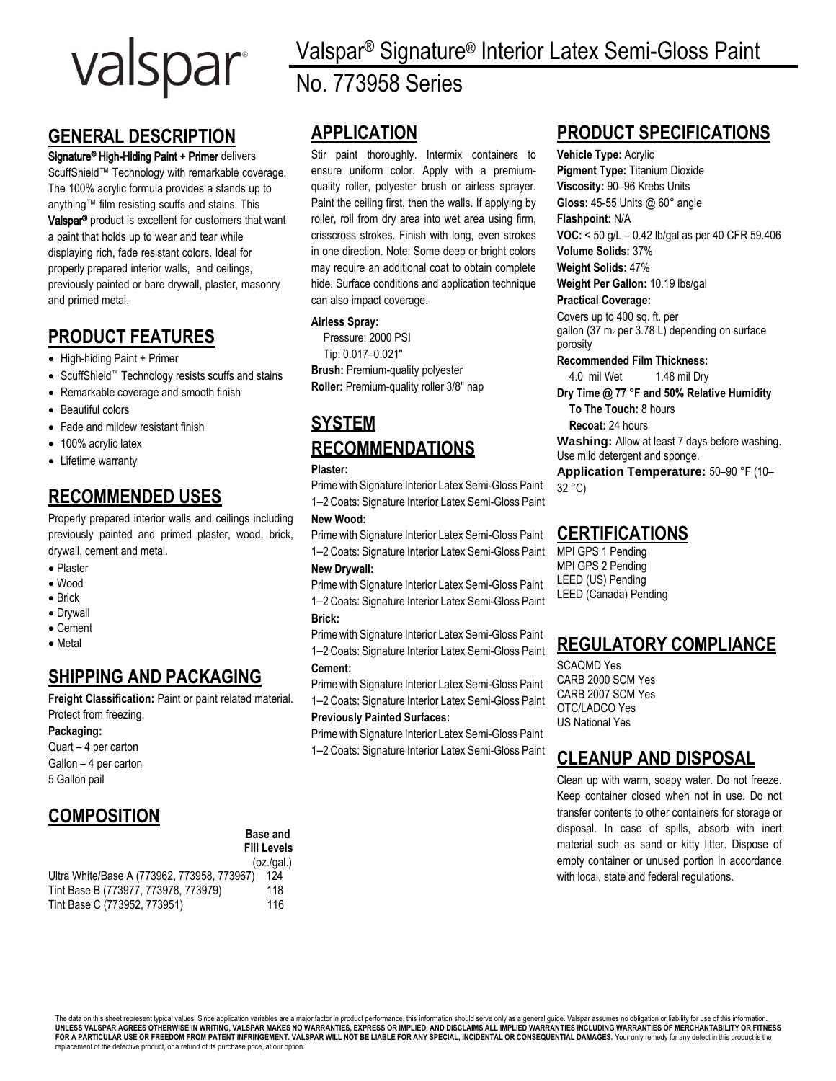# valspar

# **GENERAL DESCRIPTION**

## Signature<sup>®</sup> High-Hiding Paint + Primer delivers

ScuffShield™ Technology with remarkable coverage. The 100% acrylic formula provides a stands up to anything™ film resisting scuffs and stains. This Valspar® product is excellent for customers that want a paint that holds up to wear and tear while displaying rich, fade resistant colors. Ideal for properly prepared interior walls, and ceilings, previously painted or bare drywall, plaster, masonry and primed metal.

## **PRODUCT FEATURES**

- High-hiding Paint + Primer
- ScuffShield™ Technology resists scuffs and stains
- Remarkable coverage and smooth finish
- Beautiful colors
- Fade and mildew resistant finish
- 100% acrylic latex
- Lifetime warranty

# **RECOMMENDED USES**

Properly prepared interior walls and ceilings including previously painted and primed plaster, wood, brick, drywall, cement and metal.

- Plaster
- Wood
- Brick
- Drywall
- Cement
- Metal

# **SHIPPING AND PACKAGING**

**Freight Classification:** Paint or paint related material. Protect from freezing.

## **Packaging:**

Quart – 4 per carton Gallon – 4 per carton 5 Gallon pail

## **COMPOSITION**

|                                             | <b>Base and</b><br><b>Fill Levels</b> |
|---------------------------------------------|---------------------------------------|
|                                             | (oz.(gal.)                            |
| Ultra White/Base A (773962, 773958, 773967) | 124                                   |
| Tint Base B (773977, 773978, 773979)        | 118                                   |
| Tint Base C (773952, 773951)                | 116                                   |

Valspar® Signature® Interior Latex Semi-Gloss Paint No. 773958 Series

# **APPLICATION**

Stir paint thoroughly. Intermix containers to ensure uniform color. Apply with a premiumquality roller, polyester brush or airless sprayer. Paint the ceiling first, then the walls. If applying by roller, roll from dry area into wet area using firm, crisscross strokes. Finish with long, even strokes in one direction. Note: Some deep or bright colors may require an additional coat to obtain complete hide. Surface conditions and application technique can also impact coverage.

## **Airless Spray:**

Pressure: 2000 PSI Tip: 0.017–0.021″ **Brush:** Premium-quality polyester **Roller:** Premium-quality roller 3/8″ nap

# **SYSTEM RECOMMENDATIONS**

#### **Plaster:**

Prime with Signature Interior Latex Semi-Gloss Paint 1–2 Coats: Signature Interior Latex Semi-Gloss Paint

## **New Wood:**

Prime with Signature Interior Latex Semi-Gloss Paint 1–2 Coats: Signature Interior Latex Semi-Gloss Paint

## **New Drywall:**

Prime with Signature Interior Latex Semi-Gloss Paint 1–2 Coats: Signature Interior Latex Semi-Gloss Paint **Brick:**

Prime with Signature Interior Latex Semi-Gloss Paint 1–2 Coats: Signature Interior Latex Semi-Gloss Paint **Cement:**

Prime with Signature Interior Latex Semi-Gloss Paint 1–2 Coats: Signature Interior Latex Semi-Gloss Paint

#### **Previously Painted Surfaces:**

Prime with Signature Interior Latex Semi-Gloss Paint 1–2 Coats: Signature Interior Latex Semi-Gloss Paint

## **PRODUCT SPECIFICATIONS**

**Vehicle Type:** Acrylic **Pigment Type:** Titanium Dioxide **Viscosity:** 90–96 Krebs Units **Gloss:** 45-55 Units @ 60° angle **Flashpoint:** N/A

**VOC:** < 50 g/L – 0.42 lb/gal as per 40 CFR 59.406

**Volume Solids:** 37% **Weight Solids:** 47%

**Weight Per Gallon:** 10.19 lbs/gal

## **Practical Coverage:**

Covers up to 400 sq. ft. per gallon (37 m2 per 3.78 L) depending on surface porosity

**Recommended Film Thickness:**

4.0 mil Wet 1.48 mil Dry **Dry Time @ 77 °F and 50% Relative Humidity**

**To The Touch:** 8 hours

**Recoat:** 24 hours

**Washing:** Allow at least 7 days before washing. Use mild detergent and sponge.

**Application Temperature:** 50–90 °F (10– 32 °C)

## **CERTIFICATIONS**

MPI GPS 1 Pending MPI GPS 2 Pending LEED (US) Pending LEED (Canada) Pending

## **REGULATORY COMPLIANCE**

SCAQMD Yes CARB 2000 SCM Yes CARB 2007 SCM Yes OTC/LADCO Yes US National Yes

## **CLEANUP AND DISPOSAL**

Clean up with warm, soapy water. Do not freeze. Keep container closed when not in use. Do not transfer contents to other containers for storage or disposal. In case of spills, absorb with inert material such as sand or kitty litter. Dispose of empty container or unused portion in accordance with local, state and federal regulations.